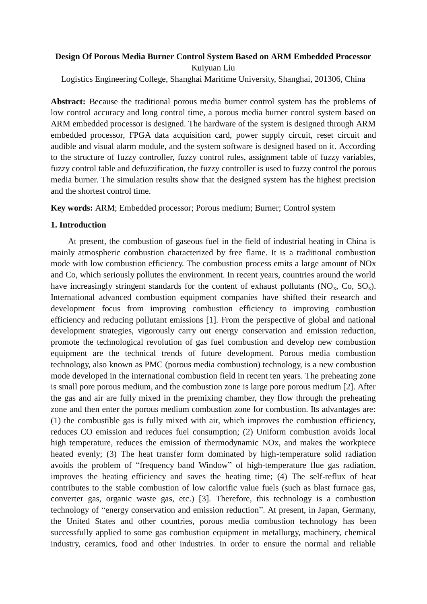# **Design Of Porous Media Burner Control System Based on ARM Embedded Processor** Kuiyuan Liu

Logistics Engineering College, Shanghai Maritime University, Shanghai, 201306, China

**Abstract:** Because the traditional porous media burner control system has the problems of low control accuracy and long control time, a porous media burner control system based on ARM embedded processor is designed. The hardware of the system is designed through ARM embedded processor, FPGA data acquisition card, power supply circuit, reset circuit and audible and visual alarm module, and the system software is designed based on it. According to the structure of fuzzy controller, fuzzy control rules, assignment table of fuzzy variables, fuzzy control table and defuzzification, the fuzzy controller is used to fuzzy control the porous media burner. The simulation results show that the designed system has the highest precision and the shortest control time.

**Key words:** ARM; Embedded processor; Porous medium; Burner; Control system

#### **1. Introduction**

At present, the combustion of gaseous fuel in the field of industrial heating in China is mainly atmospheric combustion characterized by free flame. It is a traditional combustion mode with low combustion efficiency. The combustion process emits a large amount of NOx and Co, which seriously pollutes the environment. In recent years, countries around the world have increasingly stringent standards for the content of exhaust pollutants ( $NO_x$ ,  $Co$ ,  $SO_x$ ). International advanced combustion equipment companies have shifted their research and development focus from improving combustion efficiency to improving combustion efficiency and reducing pollutant emissions [1]. From the perspective of global and national development strategies, vigorously carry out energy conservation and emission reduction, promote the technological revolution of gas fuel combustion and develop new combustion equipment are the technical trends of future development. Porous media combustion technology, also known as PMC (porous media combustion) technology, is a new combustion mode developed in the international combustion field in recent ten years. The preheating zone is small pore porous medium, and the combustion zone is large pore porous medium [2]. After the gas and air are fully mixed in the premixing chamber, they flow through the preheating zone and then enter the porous medium combustion zone for combustion. Its advantages are: (1) the combustible gas is fully mixed with air, which improves the combustion efficiency, reduces CO emission and reduces fuel consumption; (2) Uniform combustion avoids local high temperature, reduces the emission of thermodynamic NOx, and makes the workpiece heated evenly; (3) The heat transfer form dominated by high-temperature solid radiation avoids the problem of "frequency band Window" of high-temperature flue gas radiation, improves the heating efficiency and saves the heating time; (4) The self-reflux of heat contributes to the stable combustion of low calorific value fuels (such as blast furnace gas, converter gas, organic waste gas, etc.) [3]. Therefore, this technology is a combustion technology of "energy conservation and emission reduction". At present, in Japan, Germany, the United States and other countries, porous media combustion technology has been successfully applied to some gas combustion equipment in metallurgy, machinery, chemical industry, ceramics, food and other industries. In order to ensure the normal and reliable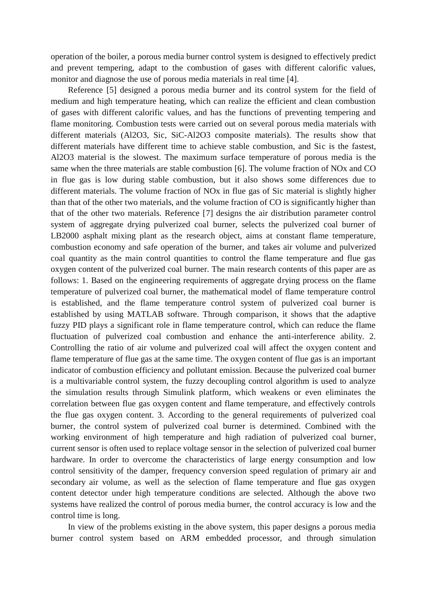operation of the boiler, a porous media burner control system is designed to effectively predict and prevent tempering, adapt to the combustion of gases with different calorific values, monitor and diagnose the use of porous media materials in real time [4].

Reference [5] designed a porous media burner and its control system for the field of medium and high temperature heating, which can realize the efficient and clean combustion of gases with different calorific values, and has the functions of preventing tempering and flame monitoring. Combustion tests were carried out on several porous media materials with different materials (Al2O3, Sic, SiC-Al2O3 composite materials). The results show that different materials have different time to achieve stable combustion, and Sic is the fastest, Al2O3 material is the slowest. The maximum surface temperature of porous media is the same when the three materials are stable combustion [6]. The volume fraction of NOx and CO in flue gas is low during stable combustion, but it also shows some differences due to different materials. The volume fraction of NOx in flue gas of Sic material is slightly higher than that of the other two materials, and the volume fraction of CO is significantly higher than that of the other two materials. Reference [7] designs the air distribution parameter control system of aggregate drying pulverized coal burner, selects the pulverized coal burner of LB2000 asphalt mixing plant as the research object, aims at constant flame temperature, combustion economy and safe operation of the burner, and takes air volume and pulverized coal quantity as the main control quantities to control the flame temperature and flue gas oxygen content of the pulverized coal burner. The main research contents of this paper are as follows: 1. Based on the engineering requirements of aggregate drying process on the flame temperature of pulverized coal burner, the mathematical model of flame temperature control is established, and the flame temperature control system of pulverized coal burner is established by using MATLAB software. Through comparison, it shows that the adaptive fuzzy PID plays a significant role in flame temperature control, which can reduce the flame fluctuation of pulverized coal combustion and enhance the anti-interference ability. 2. Controlling the ratio of air volume and pulverized coal will affect the oxygen content and flame temperature of flue gas at the same time. The oxygen content of flue gas is an important indicator of combustion efficiency and pollutant emission. Because the pulverized coal burner is a multivariable control system, the fuzzy decoupling control algorithm is used to analyze the simulation results through Simulink platform, which weakens or even eliminates the correlation between flue gas oxygen content and flame temperature, and effectively controls the flue gas oxygen content. 3. According to the general requirements of pulverized coal burner, the control system of pulverized coal burner is determined. Combined with the working environment of high temperature and high radiation of pulverized coal burner, current sensor is often used to replace voltage sensor in the selection of pulverized coal burner hardware. In order to overcome the characteristics of large energy consumption and low control sensitivity of the damper, frequency conversion speed regulation of primary air and secondary air volume, as well as the selection of flame temperature and flue gas oxygen content detector under high temperature conditions are selected. Although the above two systems have realized the control of porous media burner, the control accuracy is low and the control time is long.

In view of the problems existing in the above system, this paper designs a porous media burner control system based on ARM embedded processor, and through simulation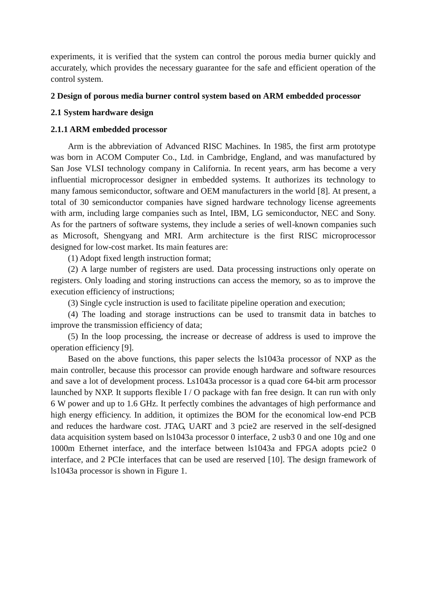experiments, it is verified that the system can control the porous media burner quickly and accurately, which provides the necessary guarantee for the safe and efficient operation of the control system.

#### **2 Design of porous media burner control system based on ARM embedded processor**

#### **2.1 System hardware design**

## **2.1.1 ARM embedded processor**

Arm is the abbreviation of Advanced RISC Machines. In 1985, the first arm prototype was born in ACOM Computer Co., Ltd. in Cambridge, England, and was manufactured by San Jose VLSI technology company in California. In recent years, arm has become a very influential microprocessor designer in embedded systems. It authorizes its technology to many famous semiconductor, software and OEM manufacturers in the world [8]. At present, a total of 30 semiconductor companies have signed hardware technology license agreements with arm, including large companies such as Intel, IBM, LG semiconductor, NEC and Sony. As for the partners of software systems, they include a series of well-known companies such as Microsoft, Shengyang and MRI. Arm architecture is the first RISC microprocessor designed for low-cost market. Its main features are:

(1) Adopt fixed length instruction format;

(2) A large number of registers are used. Data processing instructions only operate on registers. Only loading and storing instructions can access the memory, so as to improve the execution efficiency of instructions;

(3) Single cycle instruction is used to facilitate pipeline operation and execution;

(4) The loading and storage instructions can be used to transmit data in batches to improve the transmission efficiency of data;

(5) In the loop processing, the increase or decrease of address is used to improve the operation efficiency [9].

Based on the above functions, this paper selects the ls1043a processor of NXP as the main controller, because this processor can provide enough hardware and software resources and save a lot of development process. Ls1043a processor is a quad core 64-bit arm processor launched by NXP. It supports flexible I / O package with fan free design. It can run with only 6 W power and up to 1.6 GHz. It perfectly combines the advantages of high performance and high energy efficiency. In addition, it optimizes the BOM for the economical low-end PCB and reduces the hardware cost. JTAG, UART and 3 pcie2 are reserved in the self-designed data acquisition system based on ls1043a processor 0 interface, 2 usb3 0 and one 10g and one 1000m Ethernet interface, and the interface between ls1043a and FPGA adopts pcie2 0 interface, and 2 PCIe interfaces that can be used are reserved [10]. The design framework of ls1043a processor is shown in Figure 1.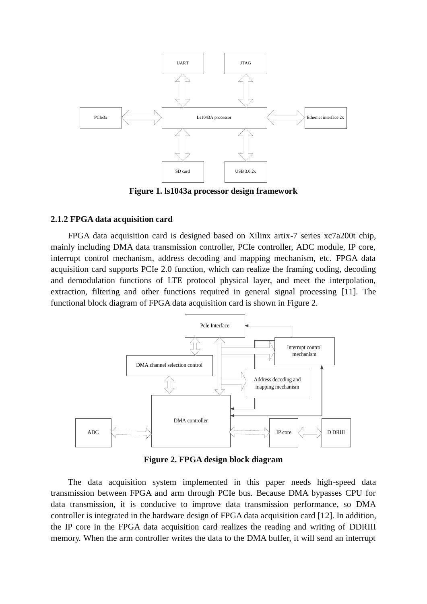

**Figure 1. ls1043a processor design framework**

## **2.1.2 FPGA data acquisition card**

FPGA data acquisition card is designed based on Xilinx artix-7 series xc7a200t chip, mainly including DMA data transmission controller, PCIe controller, ADC module, IP core, interrupt control mechanism, address decoding and mapping mechanism, etc. FPGA data acquisition card supports PCIe 2.0 function, which can realize the framing coding, decoding and demodulation functions of LTE protocol physical layer, and meet the interpolation, extraction, filtering and other functions required in general signal processing [11]. The functional block diagram of FPGA data acquisition card is shown in Figure 2.



**Figure 2. FPGA design block diagram**

The data acquisition system implemented in this paper needs high-speed data transmission between FPGA and arm through PCIe bus. Because DMA bypasses CPU for data transmission, it is conducive to improve data transmission performance, so DMA controller is integrated in the hardware design of FPGA data acquisition card [12]. In addition, the IP core in the FPGA data acquisition card realizes the reading and writing of DDRIII memory. When the arm controller writes the data to the DMA buffer, it will send an interrupt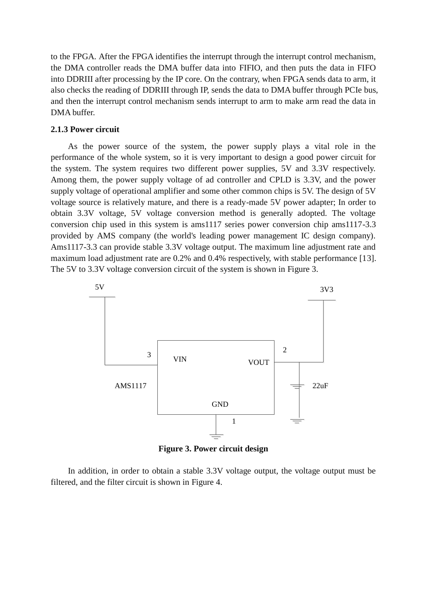to the FPGA. After the FPGA identifies the interrupt through the interrupt control mechanism, the DMA controller reads the DMA buffer data into FIFIO, and then puts the data in FIFO into DDRIII after processing by the IP core. On the contrary, when FPGA sends data to arm, it also checks the reading of DDRIII through IP, sends the data to DMA buffer through PCIe bus, and then the interrupt control mechanism sends interrupt to arm to make arm read the data in DMA buffer.

## **2.1.3 Power circuit**

As the power source of the system, the power supply plays a vital role in the performance of the whole system, so it is very important to design a good power circuit for the system. The system requires two different power supplies, 5V and 3.3V respectively. Among them, the power supply voltage of ad controller and CPLD is 3.3V, and the power supply voltage of operational amplifier and some other common chips is 5V. The design of 5V voltage source is relatively mature, and there is a ready-made 5V power adapter; In order to obtain 3.3V voltage, 5V voltage conversion method is generally adopted. The voltage conversion chip used in this system is ams1117 series power conversion chip ams1117-3.3 provided by AMS company (the world's leading power management IC design company). Ams1117-3.3 can provide stable 3.3V voltage output. The maximum line adjustment rate and maximum load adjustment rate are 0.2% and 0.4% respectively, with stable performance [13]. The 5V to 3.3V voltage conversion circuit of the system is shown in Figure 3.



**Figure 3. Power circuit design**

In addition, in order to obtain a stable 3.3V voltage output, the voltage output must be filtered, and the filter circuit is shown in Figure 4.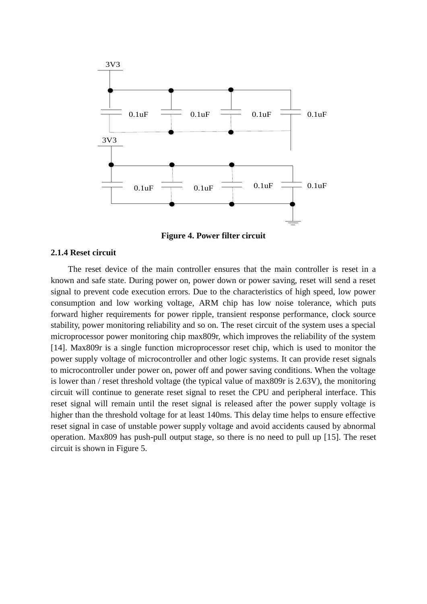

**Figure 4. Power filter circuit**

#### **2.1.4 Reset circuit**

The reset device of the main controller ensures that the main controller is reset in a known and safe state. During power on, power down or power saving, reset will send a reset signal to prevent code execution errors. Due to the characteristics of high speed, low power consumption and low working voltage, ARM chip has low noise tolerance, which puts forward higher requirements for power ripple, transient response performance, clock source stability, power monitoring reliability and so on. The reset circuit of the system uses a special microprocessor power monitoring chip max809r, which improves the reliability of the system [14]. Max809r is a single function microprocessor reset chip, which is used to monitor the power supply voltage of microcontroller and other logic systems. It can provide reset signals to microcontroller under power on, power off and power saving conditions. When the voltage is lower than / reset threshold voltage (the typical value of max809r is 2.63V), the monitoring circuit will continue to generate reset signal to reset the CPU and peripheral interface. This reset signal will remain until the reset signal is released after the power supply voltage is higher than the threshold voltage for at least 140ms. This delay time helps to ensure effective reset signal in case of unstable power supply voltage and avoid accidents caused by abnormal operation. Max809 has push-pull output stage, so there is no need to pull up [15]. The reset circuit is shown in Figure 5.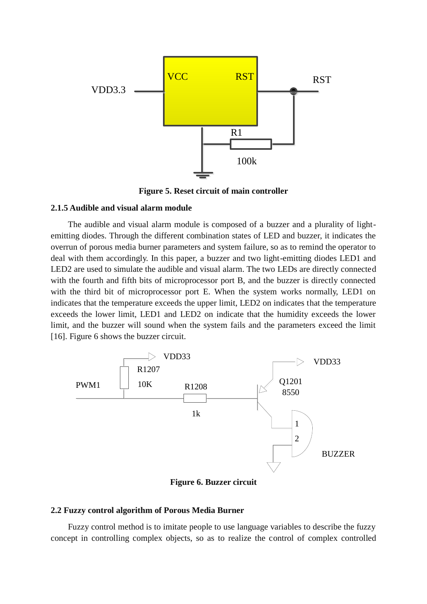

**Figure 5. Reset circuit of main controller**

#### **2.1.5 Audible and visual alarm module**

The audible and visual alarm module is composed of a buzzer and a plurality of lightemitting diodes. Through the different combination states of LED and buzzer, it indicates the overrun of porous media burner parameters and system failure, so as to remind the operator to deal with them accordingly. In this paper, a buzzer and two light-emitting diodes LED1 and LED2 are used to simulate the audible and visual alarm. The two LEDs are directly connected with the fourth and fifth bits of microprocessor port B, and the buzzer is directly connected with the third bit of microprocessor port E. When the system works normally, LED1 on indicates that the temperature exceeds the upper limit, LED2 on indicates that the temperature exceeds the lower limit, LED1 and LED2 on indicate that the humidity exceeds the lower limit, and the buzzer will sound when the system fails and the parameters exceed the limit [16]. Figure 6 shows the buzzer circuit.



**Figure 6. Buzzer circuit**

## **2.2 Fuzzy control algorithm of Porous Media Burner**

Fuzzy control method is to imitate people to use language variables to describe the fuzzy concept in controlling complex objects, so as to realize the control of complex controlled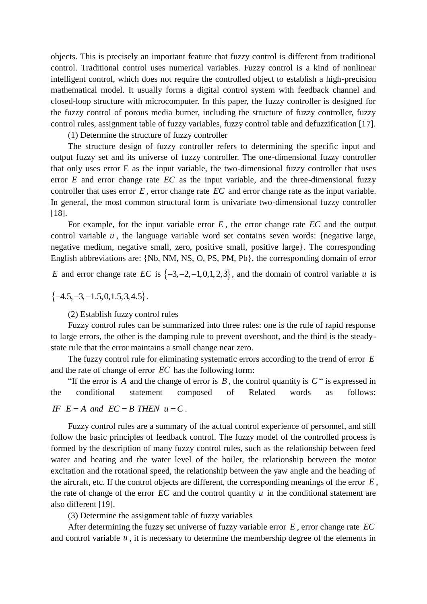objects. This is precisely an important feature that fuzzy control is different from traditional control. Traditional control uses numerical variables. Fuzzy control is a kind of nonlinear intelligent control, which does not require the controlled object to establish a high-precision mathematical model. It usually forms a digital control system with feedback channel and closed-loop structure with microcomputer. In this paper, the fuzzy controller is designed for the fuzzy control of porous media burner, including the structure of fuzzy controller, fuzzy control rules, assignment table of fuzzy variables, fuzzy control table and defuzzification [17].

(1) Determine the structure of fuzzy controller

The structure design of fuzzy controller refers to determining the specific input and output fuzzy set and its universe of fuzzy controller. The one-dimensional fuzzy controller that only uses error E as the input variable, the two-dimensional fuzzy controller that uses error  $E$  and error change rate  $EC$  as the input variable, and the three-dimensional fuzzy controller that uses error  $E$ , error change rate  $EC$  and error change rate as the input variable. In general, the most common structural form is univariate two-dimensional fuzzy controller [18].

For example, for the input variable error  $E$ , the error change rate  $EC$  and the output control variable  $u$ , the language variable word set contains seven words: {negative large, negative medium, negative small, zero, positive small, positive large}. The corresponding English abbreviations are: {Nb, NM, NS, O, PS, PM, Pb}, the corresponding domain of error

*E* and error change rate *EC* is  $\{-3, -2, -1, 0, 1, 2, 3\}$ , and the domain of control variable *u* is

 $\{-4.5, -3, -1.5, 0, 1.5, 3, 4.5\}$ .

(2) Establish fuzzy control rules

Fuzzy control rules can be summarized into three rules: one is the rule of rapid response to large errors, the other is the damping rule to prevent overshoot, and the third is the steadystate rule that the error maintains a small change near zero.

The fuzzy control rule for eliminating systematic errors according to the trend of error *E* and the rate of change of error *EC* has the following form:

"If the error is A and the change of error is  $B$ , the control quantity is  $C$ " is expressed in the conditional statement composed of Related words as follows: the conditional statement composed<br>*IF E* = A and *EC* = B *THEN*  $u = C$ .

Fuzzy control rules are a summary of the actual control experience of personnel, and still follow the basic principles of feedback control. The fuzzy model of the controlled process is formed by the description of many fuzzy control rules, such as the relationship between feed water and heating and the water level of the boiler, the relationship between the motor excitation and the rotational speed, the relationship between the yaw angle and the heading of the aircraft, etc. If the control objects are different, the corresponding meanings of the error *E* , the rate of change of the error  $EC$  and the control quantity  $u$  in the conditional statement are also different [19].

(3) Determine the assignment table of fuzzy variables

After determining the fuzzy set universe of fuzzy variable error *E* , error change rate *EC* and control variable  $u$ , it is necessary to determine the membership degree of the elements in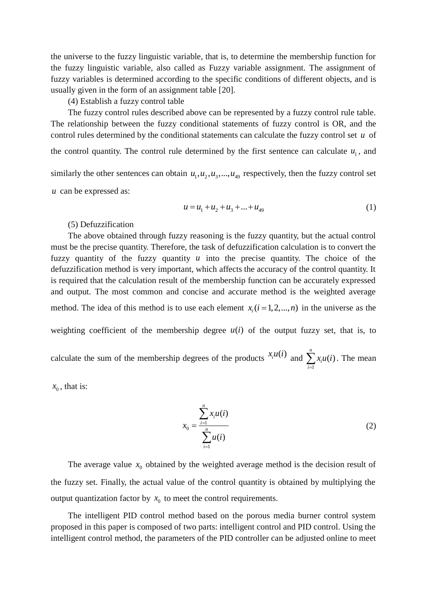the universe to the fuzzy linguistic variable, that is, to determine the membership function for the fuzzy linguistic variable, also called as Fuzzy variable assignment. The assignment of fuzzy variables is determined according to the specific conditions of different objects, and is usually given in the form of an assignment table [20].

(4) Establish a fuzzy control table

The fuzzy control rules described above can be represented by a fuzzy control rule table. The relationship between the fuzzy conditional statements of fuzzy control is OR, and the control rules determined by the conditional statements can calculate the fuzzy control set *u* of the control quantity. The control rule determined by the first sentence can calculate  $u_1$ , and similarly the other sentences can obtain  $u_1, u_2, u_3, \dots, u_{49}$  respectively, then the fuzzy control set *u* can be expressed as:

$$
u = u_1 + u_2 + u_3 + \dots + u_{49}
$$
 (1)

#### (5) Defuzzification

The above obtained through fuzzy reasoning is the fuzzy quantity, but the actual control must be the precise quantity. Therefore, the task of defuzzification calculation is to convert the fuzzy quantity of the fuzzy quantity  $u$  into the precise quantity. The choice of the defuzzification method is very important, which affects the accuracy of the control quantity. It is required that the calculation result of the membership function can be accurately expressed and output. The most common and concise and accurate method is the weighted average method. The idea of this method is to use each element  $x_i$  ( $i = 1, 2, ..., n$ ) in the universe as the

weighting coefficient of the membership degree  $u(i)$  of the output fuzzy set, that is, to

calculate the sum of the membership degrees of the products  $x_i u(i)$  and 1  $(i)$ *n i i x u i*  $\sum_{i=1} x_i u(i)$ . The mean

 $x_0$ , that is:

$$
x_0 = \frac{\sum_{i=1}^{n} x_i u(i)}{\sum_{i=1}^{n} u(i)}
$$
 (2)

The average value  $x_0$  obtained by the weighted average method is the decision result of the fuzzy set. Finally, the actual value of the control quantity is obtained by multiplying the output quantization factor by  $x_0$  to meet the control requirements.

The intelligent PID control method based on the porous media burner control system proposed in this paper is composed of two parts: intelligent control and PID control. Using the intelligent control method, the parameters of the PID controller can be adjusted online to meet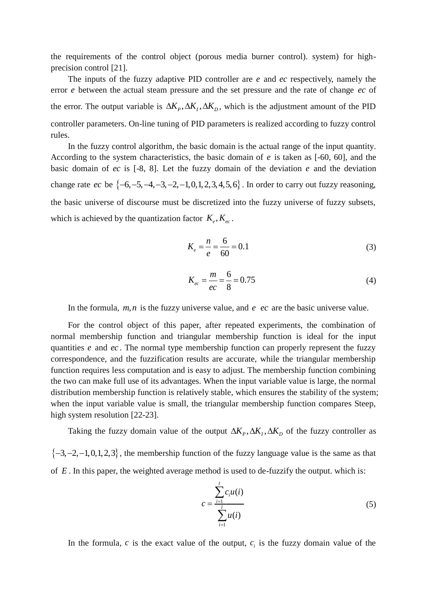the requirements of the control object (porous media burner control). system) for highprecision control [21].

The inputs of the fuzzy adaptive PID controller are *e* and *ec* respectively, namely the error *e* between the actual steam pressure and the set pressure and the rate of change *ec* of the error. The output variable is  $\Delta K_p$ ,  $\Delta K_l$ ,  $\Delta K_p$ , which is the adjustment amount of the PID controller parameters. On-line tuning of PID parameters is realized according to fuzzy control rules.

In the fuzzy control algorithm, the basic domain is the actual range of the input quantity. According to the system characteristics, the basic domain of *e* is taken as [-60, 60], and the basic domain of *ec* is [-8, 8]. Let the fuzzy domain of the deviation *e* and the deviation change rate  $ec$  be  $\{-6, -5, -4, -3, -2, -1, 0, 1, 2, 3, 4, 5, 6\}$ . In order to carry out fuzzy reasoning, the basic universe of discourse must be discretized into the fuzzy universe of fuzzy subsets, which is achieved by the quantization factor  $K_e, K_{ec}$ .

$$
K_e = \frac{n}{e} = \frac{6}{60} = 0.1\tag{3}
$$

$$
K_{ec} = \frac{m}{ec} = \frac{6}{8} = 0.75\tag{4}
$$

In the formula,  $m, n$  is the fuzzy universe value, and  $e$   $ec$  are the basic universe value.

For the control object of this paper, after repeated experiments, the combination of normal membership function and triangular membership function is ideal for the input quantities *e* and *ec*. The normal type membership function can properly represent the fuzzy correspondence, and the fuzzification results are accurate, while the triangular membership function requires less computation and is easy to adjust. The membership function combining the two can make full use of its advantages. When the input variable value is large, the normal distribution membership function is relatively stable, which ensures the stability of the system; when the input variable value is small, the triangular membership function compares Steep, high system resolution [22-23].

Taking the fuzzy domain value of the output  $\Delta K_p$ ,  $\Delta K_l$ ,  $\Delta K_p$  of the fuzzy controller as

 $\{-3, -2, -1, 0, 1, 2, 3\}$ , the membership function of the fuzzy language value is the same as that of  $E$ . In this paper, the weighted average method is used to de-fuzzify the output. which is:

$$
c = \frac{\sum_{i=1}^{l} c_i u(i)}{\sum_{i=1}^{l} u(i)}
$$
(5)

In the formula,  $c$  is the exact value of the output,  $c_i$  is the fuzzy domain value of the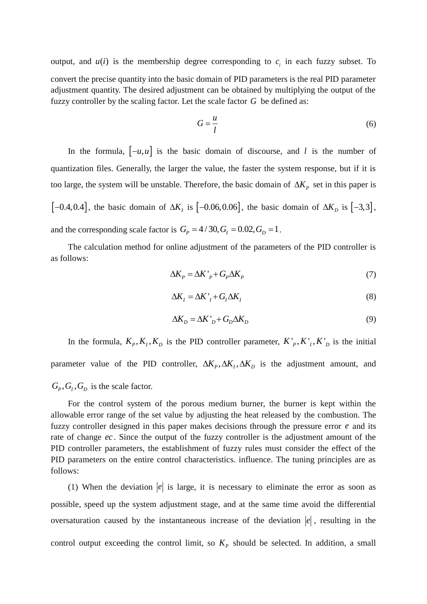output, and  $u(i)$  is the membership degree corresponding to  $c_i$  in each fuzzy subset. To convert the precise quantity into the basic domain of PID parameters is the real PID parameter adjustment quantity. The desired adjustment can be obtained by multiplying the output of the fuzzy controller by the scaling factor. Let the scale factor *G* be defined as:

$$
G = \frac{u}{l} \tag{6}
$$

In the formula,  $[-u, u]$  is the basic domain of discourse, and l is the number of quantization files. Generally, the larger the value, the faster the system response, but if it is too large, the system will be unstable. Therefore, the basic domain of  $\Delta K_p$  set in this paper is  $[-0.4, 0.4]$ , the basic domain of  $\Delta K_l$  is  $[-0.06, 0.06]$ , the basic domain of  $\Delta K_p$  is  $[-3,3]$ , and the corresponding scale factor is  $G_p = 4/30$ ,  $G_l = 0.02$ ,  $G_p = 1$ .

The calculation method for online adjustment of the parameters of the PID controller is as follows:

$$
\Delta K_P = \Delta K'_{P} + G_P \Delta K_P \tag{7}
$$

$$
\Delta K_I = \Delta K'_I + G_I \Delta K_I \tag{8}
$$

$$
\Delta K_D = \Delta K'_D + G_D \Delta K_D \tag{9}
$$

In the formula,  $K_p, K_l, K_p$  is the PID controller parameter,  $K_p, K_l, K_p$  is the initial parameter value of the PID controller,  $\Delta K_p$ ,  $\Delta K_q$ ,  $\Delta K_p$  is the adjustment amount, and  $G_P$ ,  $G_I$ ,  $G_D$  is the scale factor.

For the control system of the porous medium burner, the burner is kept within the allowable error range of the set value by adjusting the heat released by the combustion. The fuzzy controller designed in this paper makes decisions through the pressure error *e* and its rate of change *ec* . Since the output of the fuzzy controller is the adjustment amount of the PID controller parameters, the establishment of fuzzy rules must consider the effect of the PID parameters on the entire control characteristics. influence. The tuning principles are as follows:

(1) When the deviation  $|e|$  is large, it is necessary to eliminate the error as soon as possible, speed up the system adjustment stage, and at the same time avoid the differential oversaturation caused by the instantaneous increase of the deviation  $|e|$ , resulting in the control output exceeding the control limit, so  $K_p$  should be selected. In addition, a small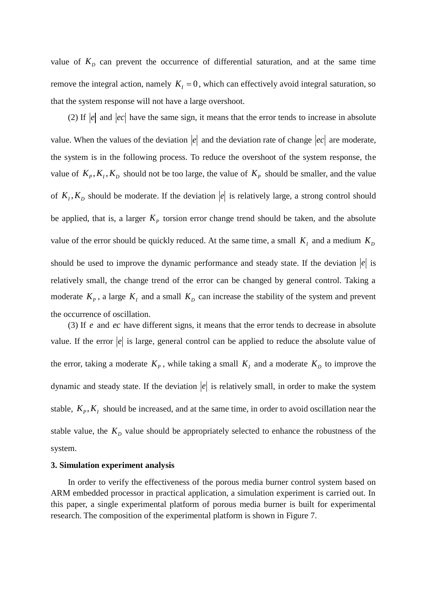value of  $K_D$  can prevent the occurrence of differential saturation, and at the same time remove the integral action, namely  $K_I = 0$ , which can effectively avoid integral saturation, so that the system response will not have a large overshoot.

(2) If  $|e|$  and  $|ec|$  have the same sign, it means that the error tends to increase in absolute value. When the values of the deviation  $|e|$  and the deviation rate of change  $|ec|$  are moderate, the system is in the following process. To reduce the overshoot of the system response, the value of  $K_p, K_l, K_p$  should not be too large, the value of  $K_p$  should be smaller, and the value of  $K_I, K_D$  should be moderate. If the deviation  $|e|$  is relatively large, a strong control should be applied, that is, a larger  $K_p$  torsion error change trend should be taken, and the absolute value of the error should be quickly reduced. At the same time, a small  $K_I$  and a medium  $K_D$ should be used to improve the dynamic performance and steady state. If the deviation  $|e|$  is relatively small, the change trend of the error can be changed by general control. Taking a moderate  $K_p$ , a large  $K_l$  and a small  $K_p$  can increase the stability of the system and prevent the occurrence of oscillation.

(3) If *e* and *ec* have different signs, it means that the error tends to decrease in absolute value. If the error  $|e|$  is large, general control can be applied to reduce the absolute value of the error, taking a moderate  $K_p$ , while taking a small  $K_l$  and a moderate  $K_p$  to improve the dynamic and steady state. If the deviation  $|e|$  is relatively small, in order to make the system stable,  $K_p$ ,  $K_l$  should be increased, and at the same time, in order to avoid oscillation near the stable value, the  $K_D$  value should be appropriately selected to enhance the robustness of the system.

#### **3. Simulation experiment analysis**

In order to verify the effectiveness of the porous media burner control system based on ARM embedded processor in practical application, a simulation experiment is carried out. In this paper, a single experimental platform of porous media burner is built for experimental research. The composition of the experimental platform is shown in Figure 7.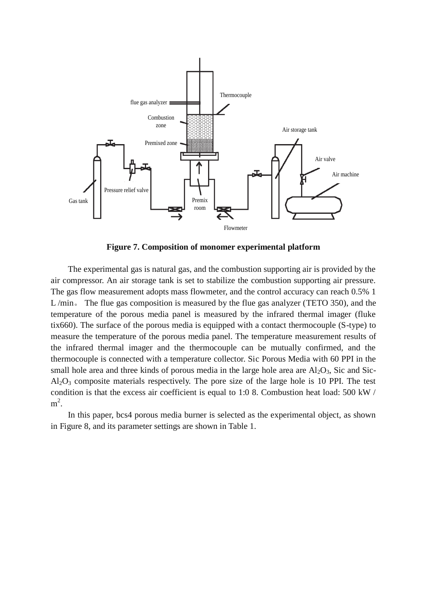

**Figure 7. Composition of monomer experimental platform**

The experimental gas is natural gas, and the combustion supporting air is provided by the air compressor. An air storage tank is set to stabilize the combustion supporting air pressure. The gas flow measurement adopts mass flowmeter, and the control accuracy can reach 0.5% 1 L /min。 The flue gas composition is measured by the flue gas analyzer (TETO 350), and the temperature of the porous media panel is measured by the infrared thermal imager (fluke tix660). The surface of the porous media is equipped with a contact thermocouple (S-type) to measure the temperature of the porous media panel. The temperature measurement results of the infrared thermal imager and the thermocouple can be mutually confirmed, and the thermocouple is connected with a temperature collector. Sic Porous Media with 60 PPI in the small hole area and three kinds of porous media in the large hole area are  $Al_2O_3$ , Sic and Sic- $Al_2O_3$  composite materials respectively. The pore size of the large hole is 10 PPI. The test condition is that the excess air coefficient is equal to 1:0 8. Combustion heat load: 500 kW /  $m^2$ .

In this paper, bcs4 porous media burner is selected as the experimental object, as shown in Figure 8, and its parameter settings are shown in Table 1.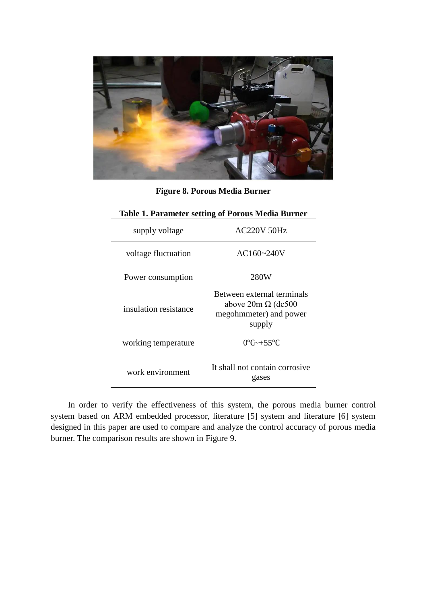

**Figure 8. Porous Media Burner**

| <b>Table 1. Parameter setting of Porous Media Burner</b> |                                                                                             |
|----------------------------------------------------------|---------------------------------------------------------------------------------------------|
| supply voltage                                           | <b>AC220V 50Hz</b>                                                                          |
| voltage fluctuation                                      | $AC160 - 240V$                                                                              |
| Power consumption                                        | 280W                                                                                        |
| insulation resistance                                    | Between external terminals<br>above $20m \Omega$ (dc500<br>megohmmeter) and power<br>supply |
| working temperature                                      | $0^{\circ}$ C $\sim$ +55 $^{\circ}$ C                                                       |
| work environment                                         | It shall not contain corrosive<br>gases                                                     |

In order to verify the effectiveness of this system, the porous media burner control system based on ARM embedded processor, literature [5] system and literature [6] system designed in this paper are used to compare and analyze the control accuracy of porous media burner. The comparison results are shown in Figure 9.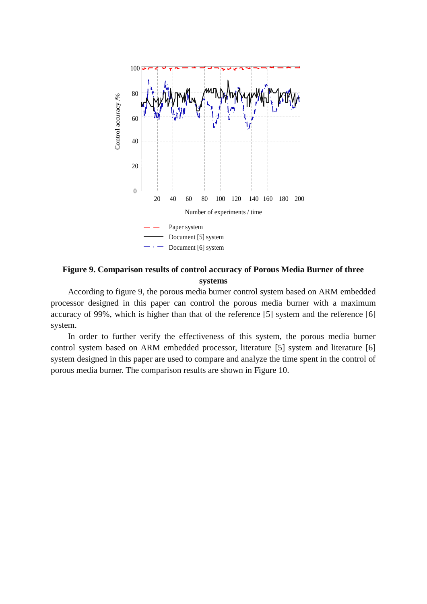

# **Figure 9. Comparison results of control accuracy of Porous Media Burner of three systems**

According to figure 9, the porous media burner control system based on ARM embedded processor designed in this paper can control the porous media burner with a maximum accuracy of 99%, which is higher than that of the reference [5] system and the reference [6] system.

In order to further verify the effectiveness of this system, the porous media burner control system based on ARM embedded processor, literature [5] system and literature [6] system designed in this paper are used to compare and analyze the time spent in the control of porous media burner. The comparison results are shown in Figure 10.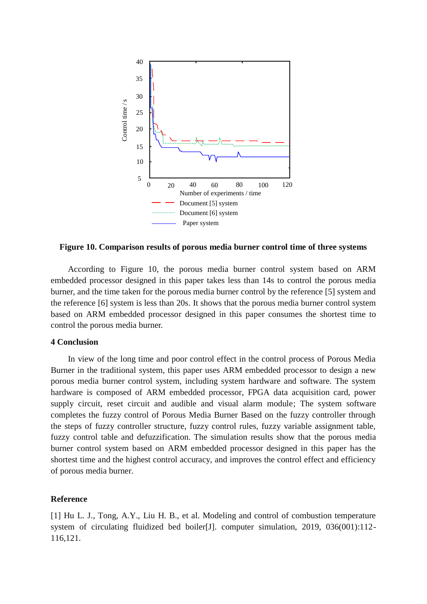

**Figure 10. Comparison results of porous media burner control time of three systems**

According to Figure 10, the porous media burner control system based on ARM embedded processor designed in this paper takes less than 14s to control the porous media burner, and the time taken for the porous media burner control by the reference [5] system and the reference [6] system is less than 20s. It shows that the porous media burner control system based on ARM embedded processor designed in this paper consumes the shortest time to control the porous media burner.

#### **4 Conclusion**

In view of the long time and poor control effect in the control process of Porous Media Burner in the traditional system, this paper uses ARM embedded processor to design a new porous media burner control system, including system hardware and software. The system hardware is composed of ARM embedded processor, FPGA data acquisition card, power supply circuit, reset circuit and audible and visual alarm module; The system software completes the fuzzy control of Porous Media Burner Based on the fuzzy controller through the steps of fuzzy controller structure, fuzzy control rules, fuzzy variable assignment table, fuzzy control table and defuzzification. The simulation results show that the porous media burner control system based on ARM embedded processor designed in this paper has the shortest time and the highest control accuracy, and improves the control effect and efficiency of porous media burner.

#### **Reference**

[1] Hu L. J., Tong, A.Y., Liu H. B., et al. Modeling and control of combustion temperature system of circulating fluidized bed boiler[J]. computer simulation, 2019, 036(001):112-116,121.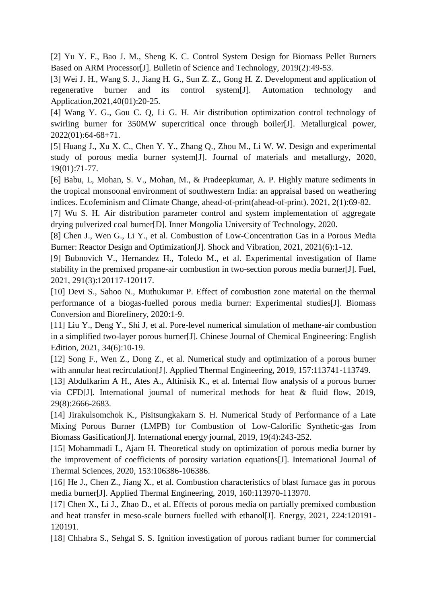[2] Yu Y. F., Bao J. M., Sheng K. C. Control System Design for Biomass Pellet Burners Based on ARM Processor[J]. [Bulletin of Science and Technology,](https://www.wanfangdata.com.cn/perio/detail.do?perio_id=kjtb&perio_title=Bulletin%20of%20Science%20and%20Technology) 2019(2):49-53.

[3] Wei J. H., Wang S. J., Jiang H. G., Sun Z. Z., Gong H. Z. Development and application of regenerative burner and its control system[J]. Automation technology and Application,2021,40(01):20-25.

[4] Wang Y. G., Gou C. Q, Li G. H. Air distribution optimization control technology of swirling burner for 350MW supercritical once through boiler[J]. Metallurgical power, 2022(01):64-68+71.

[5] Huang J., Xu X. C., Chen Y. Y., Zhang Q., Zhou M., Li W. W. Design and experimental study of porous media burner system[J]. Journal of materials and metallurgy, 2020, 19(01):71-77.

[6] Babu, L, Mohan, S. V., Mohan, M., & Pradeepkumar, A. P. Highly mature sediments in the tropical monsoonal environment of southwestern India: an appraisal based on weathering indices. Ecofeminism and Climate Change, ahead-of-print(ahead-of-print). 2021, 2(1):69-82.

[7] Wu S. H. Air distribution parameter control and system implementation of aggregate drying pulverized coal burner[D]. Inner Mongolia University of Technology, 2020.

[8] Chen J., Wen G., Li Y., et al. Combustion of Low-Concentration Gas in a Porous Media Burner: Reactor Design and Optimization[J]. Shock and Vibration, 2021, 2021(6):1-12.

[9] Bubnovich V., Hernandez H., Toledo M., et al. Experimental investigation of flame stability in the premixed propane-air combustion in two-section porous media burner[J]. Fuel, 2021, 291(3):120117-120117.

[10] Devi S., Sahoo N., Muthukumar P. Effect of combustion zone material on the thermal performance of a biogas-fuelled porous media burner: Experimental studies[J]. Biomass Conversion and Biorefinery, 2020:1-9.

[11] Liu Y., Deng Y., Shi J, et al. Pore-level numerical simulation of methane-air combustion in a simplified two-layer porous burner[J]. Chinese Journal of Chemical Engineering: English Edition, 2021, 34(6):10-19.

[12] Song F., Wen Z., Dong Z., et al. Numerical study and optimization of a porous burner with annular heat recirculation<sup>[J]</sup>. Applied Thermal Engineering, 2019, 157:113741-113749.

[13] Abdulkarim A H., Ates A., Altinisik K., et al. Internal flow analysis of a porous burner via CFD[J]. International journal of numerical methods for heat & fluid flow, 2019, 29(8):2666-2683.

[14] Jirakulsomchok K., Pisitsungkakarn S. H. Numerical Study of Performance of a Late Mixing Porous Burner (LMPB) for Combustion of Low-Calorific Synthetic-gas from Biomass Gasification[J]. International energy journal, 2019, 19(4):243-252.

[15] Mohammadi I., Ajam H. Theoretical study on optimization of porous media burner by the improvement of coefficients of porosity variation equations[J]. International Journal of Thermal Sciences, 2020, 153:106386-106386.

[16] He J., Chen Z., Jiang X., et al. Combustion characteristics of blast furnace gas in porous media burner[J]. Applied Thermal Engineering, 2019, 160:113970-113970.

[17] Chen X., Li J., Zhao D., et al. Effects of porous media on partially premixed combustion and heat transfer in meso-scale burners fuelled with ethanol[J]. Energy, 2021, 224:120191- 120191.

[18] Chhabra S., Sehgal S. S. Ignition investigation of porous radiant burner for commercial